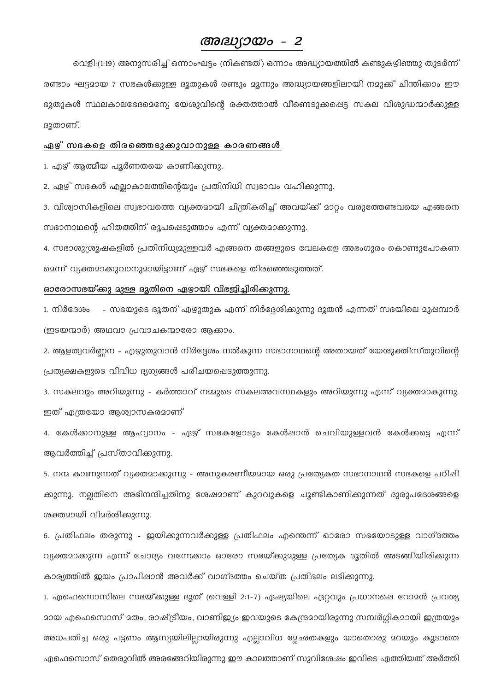# അദ്ധ്യായം - 2

വെളി:(1:19) അനുസരിച്ച് ഒന്നാംഘട്ടം (നികണ്ടത്) ഒന്നാം അദ്ധ്യായത്തിൽ കണ്ടുകഴിഞ്ഞു തുടർന്ന് രണ്ടാം ഘട്ടമായ 7 സഭകൾക്കുള്ള ദൂതുകൾ രണ്ടും മൂന്നും അദ്ധ്യായങ്ങളിലായി നമുക്ക് ചിന്തിക്കാം ഈ ഭൂതുകൾ സ്ഥലകാലഭേദമെന്യേ യേശുവിന്റെ രക്തത്താൽ വീണ്ടെടുക്കപ്പെട്ട സകല വിശുദ്ധന്മാർക്കുള്ള ദുതാണ്.

# ഏഴ് സഭകളെ തിരഞ്ഞെടുക്കുവാനുള്ള കാരണങ്ങൾ

1. ഏഴ് ആത്മീയ പൂർണതയെ കാണിക്കുന്നു.

2. ഏഴ് സഭകൾ എല്ലാകാലത്തിന്റെയും പ്രതിനിധി സ്വഭാവം വഹിക്കുന്നു.

3. വിശ്വാസികളിലെ സ്വഭാവത്തെ വ്യക്തമായി ചിത്രികരിച്ച് അവയ്ക്ക് മാറ്റം വരുത്തേണ്ടവയെ എങ്ങനെ സഭാനാഥന്റെ ഹിതത്തിന് രൂപപ്പെടുത്താം എന്ന് വ്യക്തമാക്കുന്നു.

4. സഭാശുശ്രൂഷകളിൽ പ്രതിനിധ്യമുള്ളവർ എങ്ങനെ തങ്ങളുടെ വേലകളെ അഭംഗുരം കൊണ്ടുപോകണ മെന്ന് വ്യക്തമാക്കുവാനുമായിട്ടാണ് ഏഴ് സഭകളെ തിരഞ്ഞെടുത്തത്.

# ഓരോസഭയ്ക്കു മുള്ള ദൂതിനെ ഏഴായി വിഭജിച്ചിരിക്കുന്നു.

1. നിർദേശം - സഭയുടെ ദൂതന് എഴുതുക എന്ന് നിർദ്ദേശിക്കുന്നു ദൂതൻ എന്നത് സഭയിലെ മുഷമ്പാർ (ഇടയന്മാർ) അഥവാ പ്രവാചകന്മാരോ ആക്കാം.

2. ആളത്വവർണ്ണന - എഴുതുവാൻ നിർദ്ദേശം നൽകുന്ന സഭാനാഥന്റെ അതായത് യേശുക്തിസ്തുവിന്റെ പ്രത്യക്ഷകളുടെ വിവിധ ദൃഗ്യങ്ങൾ പരിചയപ്പെടുത്തുന്നു.

3. സകലവും അറിയുന്നു - കർത്താവ് നമ്മുടെ സകലഅവസ്ഥകളും അറിയുന്നു എന്ന് വ്യക്തമാകുന്നു. ഇത് എത്രയോ ആശ്വാസകരമാണ്

4. കേൾക്കാനുള്ള ആഹ്വാനം - ഏഴ് സഭകളോടും കേൾപ്പാൻ ചെവിയുള്ളവൻ കേൾക്കട്ടെ എന്ന് ആവർത്തിച്ച് പ്രസ്താവിക്കുന്നു.

5. നന്മ കാണുന്നത് വ്യക്തമാക്കുന്നു - അനുകരണീയമായ ഒരു പ്രത്യേകത സഭാനാഥൻ സഭകളെ പഠിഷി ക്കുന്നു. നല്ലതിനെ അഭിനന്ദിച്ചതിനു ശേഷമാണ് കുറവുകളെ ചൂണ്ടികാണിക്കുന്നത് ദുരുപദേശങ്ങളെ ശക്തമായി വിമർശിക്കുന്നു.

6. പ്രതിഫലം തരുന്നു - ഇയിക്കുന്നവർക്കുള്ള പ്രതിഫലം എന്തെന്ന് ഓരോ സഭയോടുള്ള വാഗ്ദത്തം വ്യക്തമാക്കുന്ന എന്ന് ചോദ്യം വന്നേക്കാം ഓരോ സഭയ്ക്കുമുള്ള പ്രത്യേക ദൂതിൽ അടങ്ങിയിരിക്കുന്ന കാര്യത്തിൽ ഇയം പ്രാപിഷാൻ അവർക്ക് വാഗ്ദത്തം ചെയ്ത പ്രതിഭലം ലഭിക്കുന്നു.

1. എഫെസൊസിലെ സഭയ്ക്കുള്ള ദൂത് (വെള്ളി 2:1-7) ഏഷ്യയിലെ ഏറ്റവും പ്രധാനപ്പെ റോമൻ പ്രവശ്യ <u></u> മായ എഫെസൊസ് മതം, രാഷ്ട്രീയം, വാണിജ്യം ഇവയുടെ കേന്ദ്രമായിരുന്നു സമ്പർഗ്ഗികമായി ഇത്രയും അധപതിച്ച ഒരു പട്ടണം ആസ്യയിലില്ലായിരുന്നു എല്ലാവിധ മ്ലേഛതകളും യാതൊരു മറയും കൂടാതെ എഫെസൊസ് തെരുവിൽ അരങ്ങേറിയിരുന്നു ഈ കാലത്താണ് സുവിശേഷം ഇവിടെ എത്തിയത് അർത്തി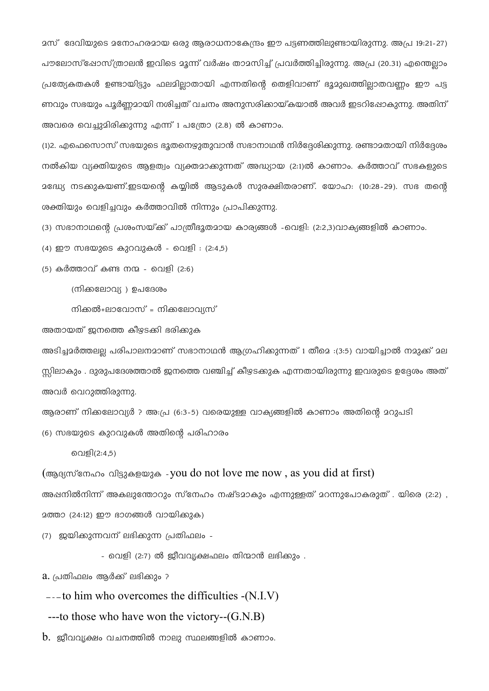മസ് ദേവിയുടെ മനോഹരമായ ഒരു ആരാധനാകേന്ദ്രം ഈ പട്ടണത്തിലുണ്ടായിരുന്നു. അപ്ര 19:21-27) പൗലോസ്ഷോസ്ത്രാലൻ ഇവിടെ മൂന്ന് വർഷം താമസിച്ച് പ്രവർത്തിച്ചിരുന്നു. അപ്ര (20.31) എന്തെല്ലാം പ്രത്യേകതകൾ ഉണ്ടായിട്ടും ഫലമില്ലാതായി എന്നതിന്റെ തെളിവാണ് ഭൂമുഖത്തില്ലാതവണ്ണം ഈ പട്ട ണവും സഭയും പൂർണ്ണമായി നശിച്ചത് വചനം അനുസരിക്കായ്കയാൽ അവർ ഇടറിപ്പോകുന്നു. അതിന് അവരെ വെച്ചുമിരിക്കുന്നു എന്ന് 1 പത്രോ (2.8) ൽ കാണാം.

(1)2. എഫെസൊസ് സഭയുടെ ഭൂതനെഴുതുവാൻ സഭാനാഥൻ നിർദ്ദേശിക്കുന്നു. രണ്ടാമതായി നിർദ്ദേശം നൽകിയ വ്യക്തിയുടെ ആളത്വം വ്യക്തമാക്കുന്നത് അദ്ധ്യായ (2:1)ൽ കാണാം. കർത്താവ് സഭകളുടെ മദ്ധ്യേ നടക്കുകയണ്.ഇടയന്റെ കയ്യിൽ ആടുകൾ സുരക്ഷിതരാണ്. യോഹ: (10:28-29). സഭ തന്റെ ശക്തിയും വെളിച്ചവും കർത്താവിൽ നിന്നും പ്രാപിക്കുന്നു.

(3) സഭാനാഥന്റെ പ്രശംസയ്ക്ക് പാത്രീഭൂതമായ കാര്യങ്ങൾ -വെളി: (2:2,3)വാക്യങ്ങളിൽ കാണാം.

 $(4)$  ഈ സഭയുടെ കുറവുകൾ - വെളി :  $(2:4,5)$ 

 $(5)$  കർത്താവ് കണ്ട നന്മ - വെളി (2:6)

(നിക്കലോവ്യ ) ഉപദേശം

നിക്കൽ+ലാവോസ് = നിക്കലോവ്യസ്

അതായത് ജനത്തെ കീഴടക്കി ഭരിക്കുക

അടിച്ചമർത്തലല്ല പരിപാലനമാണ് സഭാനാഥൻ ആഗ്രഹിക്കുന്നത് 1 തീമെ :(3:5) വായിച്ചാൽ നമുക്ക് മല സ്സിലാകും . ദുരുപദേശത്താൽ ഇനത്തെ വഞ്ചിച്ച് കീഴടക്കുക എന്നതായിരുന്നു ഇവരുടെ ഉദ്ദേശം അത് അവർ വെറുത്തിരുന്നു.

ആരാണ് നിക്കലോവ്യർ ? അ:പ്ര (6:3-5) വരെയുള്ള വാക്യങ്ങളിൽ കാണാം അതിന്റെ മറുപടി

(6) സഭയുടെ കുറവുകൾ അതിന്റെ പരിഹാരം

വെളി(2:4,5)

(ആദ്യസ്നേഹം വിട്ടുകളയുക -you do not love me now, as you did at first)

അഷനിൽനിന്ന് അകലുന്തോറും സ്നേഹം നഷ്ടമാകും എന്നുള്ളത് മറന്നുപോകരുത് . യിരെ (2:2) , 2ത്താ (24:12) ഈ ഭാഗങ്ങൾ വായിക്കുക)

(7) ഇയിക്കുന്നവന് ലഭിക്കുന്ന പ്രതിഫലം -

- വെളി (2:7) ൽ ജീവവൃക്ഷഫലം തിന്മാൻ ലഭിക്കും .

a. പ്രതിഫലം ആർക്ക് ലഭിക്കും ?

 $---$  to him who overcomes the difficulties  $-(N.I.V)$ 

---to those who have won the victory-- $(G.N.B)$ 

 $\,\mathrm{b.}\,$  ജീവവൃക്ഷം വചനത്തിൽ നാലു സ്ഥലങ്ങളിൽ കാണാം.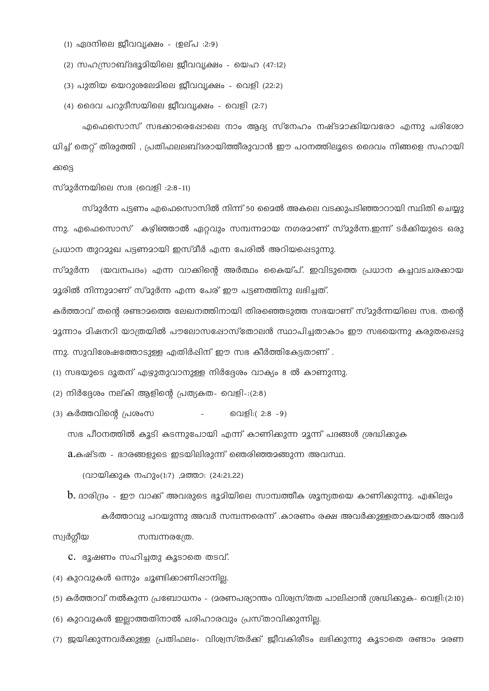(1) ഏദനിലെ ജീവവൃക്ഷം - (ഉല്പ :2:9)

(2) സഹസ്രാബ്ദഭൂമിയിലെ ജീവവൃക്ഷം - യെഹ (47:12)

(3) പുതിയ യെറുശലേമിലെ ജീവവൃക്ഷം - വെളി (22:2)

(4) ദൈവ പറുദീസയിലെ ജീവവ്യക്ഷം - വെളി (2:7)

എഫെസൊസ് സഭക്കാരെഷോലെ നാം ആദ്യ സ്നേഹം നഷ്ടമാക്കിയവരോ എന്നു പരിശോ ധിച്ച് തെറ്റ് തിരുത്തി , പ്രതിഫലലബ്ദരായിത്തീരുവാൻ ഈ പഠനത്തിലൂടെ ദൈവം നിങ്ങളെ സഹായി ക്കട്ടെ

സ്മുർന്നയിലെ സഭ (വെളി :2:8-11)

സ്മുർന്ന പട്ടണം എഫെസൊസിൽ നിന്ന് 50 മൈൽ അകലെ വടക്കുപടിഞ്ഞാറായി സ്ഥിതി ചെയ്യു ന്നു. എഫെസൊസ് കഴിഞ്ഞാൽ ഏറ്റവും സമ്പന്നമായ നഗരമാണ് സ്മുർന്ന.ഇന്ന് ടർക്കിയുടെ ഒരു പ്രധാന തുറമുഖ പട്ടണമായി ഇസ്മീർ എന്ന പേരിൽ അറിയപ്പെടുന്നു.

സ്മുർന്ന (യവനപദം) എന്ന വാക്കിന്റെ അർത്ഥം കൈയ്പ്. ഇവിടുത്തെ പ്രധാന കച്ചവടചരക്കായ <u>ാ</u>ൂരിൽ നിന്നുമാണ് സ്മുർന്ന എന്ന പേര് ഈ പട്ടണത്തിനു ലഭിച്ചത്.

കർത്താവ് തന്റെ രണ്ടാമത്തെ ലേഖനത്തിനായി തിരഞ്ഞെടുത്ത സഭയാണ് സ്മുർന്നയിലെ സഭ. തന്റെ മൂന്നാം മിഷനറി യാത്രയിൽ പൗലോസഷോസ്തോലൻ സ്ഥാപിച്ചതാകാം ഈ സഭയെന്നു കരുതപ്പെടു ന്നു. സുവിശേഷത്തോടുള്ള എതിർപ്പിന് ഈ സഭ കീർത്തികേട്ടതാണ് .

(1) സഭയുടെ ദൂതന് എഴുതുവാനുള്ള നിർദ്ദേശം വാക്യം 8 ൽ കാണുന്നു.

(2) നിർദ്ദേശം നല്കി ആളിന്റെ പ്രത്യകത- വെളി-:(2:8)

(3) കർത്തവിന്റെ പ്രശംസ വെളി:( 2:8 -9)

സഭ പീഠനത്തിൽ കൂടി കടന്നുപോയി എന്ന് കാണിക്കുന്ന മൂന്ന് പദങ്ങൾ ശ്രദ്ധിക്കുക

 $a$ .കഷ്ടത - ഭാരങ്ങളുടെ ഇടയിലിരുന്ന് ഞെരിഞ്ഞമങ്ങുന്ന അവസ്ഥ.

(വായിക്കുക നഹും(1:7) ,മത്താ: (24:21.22)

 $\mathbf b$ . ദാരിദ്രം - ഈ വാക്ക് അവരുടെ ഭൂമിയിലെ സാമ്പത്തീക ശൂന്യതയെ കാണിക്കുന്നു. എങ്കിലും കർത്താവു പറയുന്നു അവർ സമ്പന്നരെന്ന് .കാരണം രക്ഷ അവർക്കുള്ളതാകയാൽ അവർ

#### സ്വർഗ്ഗീയ സമ്പന്നരത്രേ.

C. ഭൂഷണം സഹിച്ചതു കൂടാതെ തടവ്.

(4) കുറവുകൾ ഒന്നും ചൂണ്ടിക്കാണിഷാനില്ല.

(5) കർത്താവ് നൽകുന്ന പ്രബോധനം - (മരണപര്യാന്തം വിശ്വസ്തത പാലിഷാൻ ശ്രദ്ധിക്കുക- വെളി:(2:10)

(6) കുറവുകൾ ഇല്ലാത്തതിനാൽ പരിഹാരവും പ്രസ്താവിക്കുന്നില്ല.

(7) ഇയിക്കുന്നവർക്കുള്ള പ്രതിഫലം- വിശ്വസ്തർക്ക് ഇീവകിരീടം ലഭിക്കുന്നു കൂടാതെ രണ്ടാം മരണ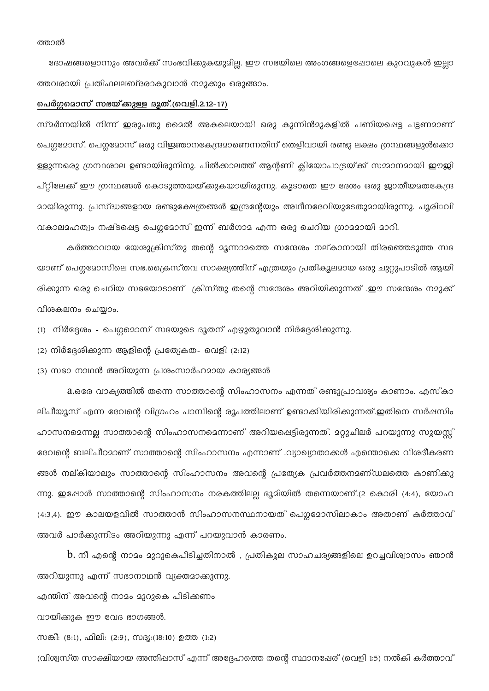ദോഷങ്ങളൊന്നും അവർക്ക് സംഭവിക്കുകയുമില്ല. ഈ സഭയിലെ അംഗങ്ങളെപ്പോലെ കുറവുകൾ ഇല്ലാ ത്തവരായി പ്രതിഫലലബ്ദരാകുവാൻ നമുക്കും ഒരുങ്ങാം.

# പെർഗ്ഗമൊസ് സഭയ്ക്കുള്ള ദൂത്.(വെളി.2.12-17)

സ്മർന്നയിൽ നിന്ന് ഇരുപതു മൈൽ അകലെയായി ഒരു കുന്നിൻമുകളിൽ പണിയപ്പെട്ട പട്ടണമാണ് പെഗ്ഗമോസ്. പെഗ്ഗമോസ് ഒരു വിഇഞാനകേന്ദ്രമാണെന്നതിന് തെളിവായി രണ്ടു ലക്ഷം ഗ്രന്ഥങ്ങളുൾക്കൊ ള്ളുന്നഒരു ഗ്രന്ഥശാല ഉണ്ടായിരുനിനു. പിൽകാലത്ത് ആന്റണി ക്ലിയോപാട്രയ്ക്ക് സമ്മാനമായി ഈജി പ്റ്റിലേക്ക് ഈ ഗ്രന്ഥങ്ങൾ കൊടുത്തയയ്ക്കുകയായിരുന്നു. കൂടാതെ ഈ ദേശം ഒരു ജാതീയമതകേന്ദ്ര <u>മായിരുന്നു. പ്രസ്ദ്ധങ്ങളായ രണ്ടുക്ഷേത്രങ്ങൾ ഇന്ദ്രന്റേയും അഥീനദേവിയുടേതുമായിരുന്നു. പൂരിരവി</u> വകാലമഹത്വം നഷ്ടപ്പെട്ട പെഗ്ഗമോസ് ഇന്ന് ബർഗാമ എന്ന ഒരു ചെറിയ ഗ്രാമമായി മാറി.

കർത്താവായ യേശുക്രിസ്തു തന്റെ മൂന്നാമത്തെ സന്ദേശം നല്കാനായി തിരഞ്ഞെടുത്ത സഭ യാണ് പെഗ്ഗമോസിലെ സഭ.ക്രൈസ്തവ സാക്ഷ്യത്തിന് എത്രയും പ്രതികുലമായ ഒരു ചുറ്റുപാടിൽ ആയി രിക്കുന്ന ഒരു ചെറിയ സഭയോടാണ് ക്രിസ്തു തന്റെ സന്ദേശം അറിയിക്കുന്നത് .ഈ സന്ദേശം നമുക്ക് വിശകലനം ചെയ്യാം.

(1) നിർദ്ദേശം - പെഗ്ഗമൊസ് സഭയുടെ ദൂതന് എഴുതുവാൻ നിർദ്ദേശിക്കുന്നു.

(2) നിർദ്ദേശിക്കുന്ന ആളിന്റെ പ്രത്യേകത- വെളി (2:12)

(3) സഭാ നാഥൻ അറിയുന്ന പ്രശംസാർഹമായ കാര്യങ്ങൾ

2.ഒരേ വാക്യത്തിൽ തന്നെ സാത്താന്റെ സിംഹാസനം എന്നത് രണ്ടുപ്രാവശ്യം കാണാം. എസ്കാ ലിപീയൂസ് എന്ന ദേവന്റെ വിഗ്രഹം പാമ്പിന്റെ രൂപത്തിലാണ് ഉണ്ടാക്കിയിരിക്കുന്നത്.ഇതിനെ സർഷസിം ഹാസനമെന്നല്ല സാത്താന്റെ സിംഹാസനമെന്നാണ് അറിയപ്പെട്ടിരുന്നത്. മറ്റുചിലർ പറയുന്നു സൂയസ്സ് ദേവന്റെ ബലിപീഠമാണ് സാത്താന്റെ സിംഹാസനം എന്നാണ് .വ്യാഖ്യാതാക്കൾ എന്തൊക്കെ വിശദീകരണ ങ്ങൾ നല്കിയാലും സാത്താന്റെ സിംഹാസനം അവന്റെ പ്രത്യേക പ്രവർത്തനമണ്ഡലത്തെ കാണിക്കു ന്നു. ഇഷോൾ സാത്താന്റെ സിംഹാസനം നരകത്തിലല്ല ഭൂമിയിൽ തന്നെയാണ്.(2 കൊരി (4:4), യോഹ (4:3,4). ഈ കാലയളവിൽ സാത്താൻ സിംഹാസനസ്ഥനായത് പെഗ്ഗമോസിലാകാം അതാണ് കർത്താവ് അവർ പാർക്കുന്നിടം അറിയുന്നു എന്ന് പറയുവാൻ കാരണം.

 $\,\mathrm{b}$ . നീ എന്റെ നാമം മുറുകെപിടിച്ചതിനാൽ , പ്രതികൂല സാഹചര്യങ്ങളിലെ ഉറച്ചവിശ്വാസം ഞാൻ അറിയുന്നു എന്ന് സഭാനാഥൻ വ്യക്തമാക്കുന്നു.

എന്തിന് അവന്റെ നാമം മുറുകെ പിടിക്കണം

വായിക്കുക ഈ വേദ ഭാഗങ്ങൾ.

സങ്കീ: (8:1), ഫിലി: (2:9), സദ്യ:(18:10) ഉത്ത (1:2)

(വിശ്വസ്ത സാക്ഷിയായ അന്തിഷാസ് എന്ന് അദ്ദേഹത്തെ തന്റെ സ്ഥാനഷേര് (വെളി 1:5) നൽകി കർത്താവ്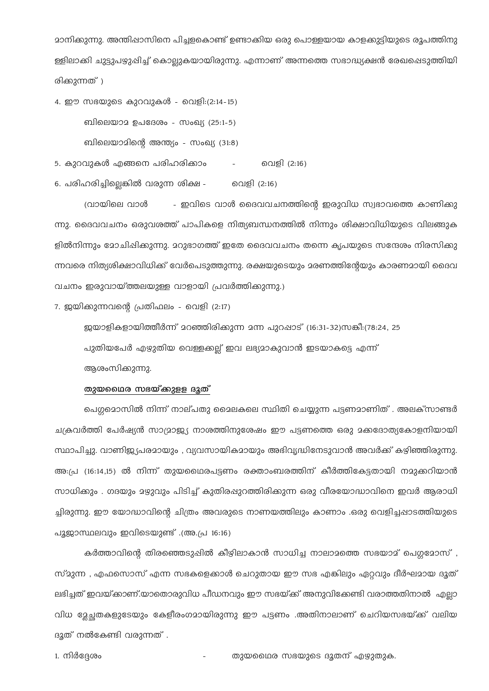മാനിക്കുന്നു. അന്തിഷാസിനെ പിച്ചളകൊണ്ട് ഉണ്ടാക്കിയ ഒരു പൊള്ളയായ കാളക്കുട്ടിയുടെ രൂപത്തിനു ള്ളിലാക്കി ചുട്ടുപഴുപ്പിച്ച് കൊല്ലുകയായിരുന്നു. എന്നാണ് അന്നത്തെ സഭാദ്ധ്യക്ഷൻ രേഖപ്പെടുത്തിയി രിക്കുന്നത്)

4. ഈ സഭയുടെ കുറവുകൾ - വെളി:(2:14-15) ബിലെയാമ ഉപദേശം - സംഖ്യ (25:1-5) ബിലെയാമിന്റെ അന്ത്യം - സംഖ്യ (31:8)

5. കുറവുകൾ എങ്ങനെ പരിഹരിക്കാം വെളി (2:16)  $\mathcal{L}^{\text{max}}$  and  $\mathcal{L}^{\text{max}}$ 

6. പരിഹരിച്ചില്ലെങ്കിൽ വരുന്ന ശിക്ഷ - രവളി (2:16)

വ്രായിലെ വാൾ - ഇവിടെ വാൾ ദൈവവചനത്തിന്റെ ഇരുവിധ സ്വഭാവത്തെ കാണിക്കു ന്നു. ദൈവവചനം ഒരുവശത്ത് പാപികളെ നിത്യബന്ധനത്തിൽ നിന്നും ശിക്ഷാവിധിയുടെ വിലങ്ങുക ളിൽനിന്നും മോചിഷിക്കുന്നു. മറുഭാഗത്ത് ഇതേ ദൈവവചനം തന്നെ കൃപയുടെ സന്ദേശം നിരസിക്കു ന്നവരെ നിത്യശിക്ഷാവിധിക്ക് വേർപെടുത്തുന്നു. രക്ഷയുടെയും മരണത്തിന്റേയും കാരണമായി ദൈവ വചനം ഇരുവായ്ത്തലയുള്ള വാളായി പ്രവർത്തിക്കുന്നു.)

7. ജയിക്കുന്നവന്റെ പ്രതിഫലം - വെളി (2:17)

ജയാളികളായിത്തീർന്ന് മറഞ്ഞിരിക്കുന്ന മന്ന പുറപ്പാട് (16:31-32)സങ്കീ:(78:24, 25 പുതിയപേർ എഴുതിയ വെള്ളക്കല്ല് ഇവ ലഭ്യമാകുവാൻ ഇടയാകട്ടെ എന്ന് ആശംസിക്കുന്നു.

# തുയഥൈര സഭയ്ക്കുളള ദൂത്

പെഗ്ഗമൊസിൽ നിന്ന് നാല്പതു മൈലകലെ സ്ഥിതി ചെയ്യുന്ന പട്ടണമാണിത് . അലക്സാണ്ടർ ചക്രവർത്തി പേർഷ്യൻ സാമ്രാജ്യ നാശത്തിനുശേഷം ഈ പട്ടണത്തെ ഒരു മക്കദോത്യകോളനിയായി സ്ഥാപിച്ചു. വാണിഇ്യപരമായും , വ്യവസായികമായും അഭിവൃദ്ധിനേടുവാൻ അവർക്ക് കഴിഞ്ഞിരുന്നു. അ:പ്ര (16:14,15) ൽ നിന്ന് തുയഥൈരപട്ടണം രക്താംബരത്തിന് കീർത്തികേട്ടതായി നമുക്കറിയാൻ സാധിക്കും . ഗദയും മഴുവും പിടിച്ച് കുതിരഷുറത്തിരിക്കുന്ന ഒരു വീരയോദ്ധാവിനെ ഇവർ ആരാധി ച്ചിരുന്നു. ഈ യോദ്ധാവിന്റെ ചിത്രം അവരുടെ നാണയത്തിലും കാണാം .ഒരു വെളിച്ചപ്പാടത്തിയുടെ പുജാസ്ഥലവും ഇവിടെയുണ്ട് .(അ.പ്ര 16:16)

കർത്താവിന്റെ തിരഞ്ഞെടുപ്പിൽ കീഴിലാകാൻ സാധിച്ച നാലാമത്തെ സഭയാമ് പെഗുമോസ് , സ്മുന്ന , എഫസൊസ് എന്ന സഭകളെക്കാൾ ചെറുതായ ഈ സഭ എങ്കിലും ഏറ്റവും ദീർഘമായ ദൂത് ലഭിച്ചത് ഇവയ്ക്കാണ്.യാതൊരുവിധ പീഡനവും ഈ സഭയ്ക്ക് അനുവിക്കേണ്ടി വരാത്തതിനാൽ എല്ലാ വിധ മേച്ചതകളുടേയും കേളീരംഗമായിരുന്നു ഈ പട്ടണം .അതിനാലാണ് ചെറിയസഭയ്ക്ക് വലിയ ദൂത് നൽകേണ്ടി വരുന്നത് .

തുയഥൈര സഭയുടെ ദൂതന് എഴുതുക.